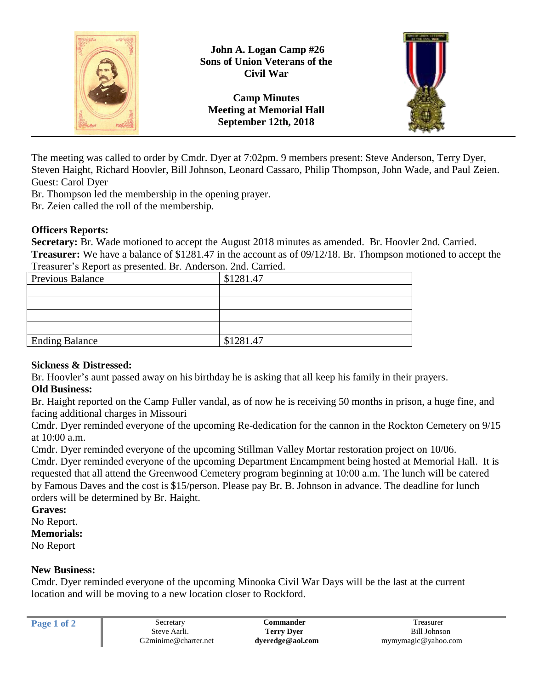

The meeting was called to order by Cmdr. Dyer at 7:02pm. 9 members present: Steve Anderson, Terry Dyer, Steven Haight, Richard Hoovler, Bill Johnson, Leonard Cassaro, Philip Thompson, John Wade, and Paul Zeien. Guest: Carol Dyer

Br. Thompson led the membership in the opening prayer.

Br. Zeien called the roll of the membership.

## **Officers Reports:**

**Secretary:** Br. Wade motioned to accept the August 2018 minutes as amended. Br. Hoovler 2nd. Carried. **Treasurer:** We have a balance of \$1281.47 in the account as of 09/12/18. Br. Thompson motioned to accept the Treasurer's Report as presented. Br. Anderson. 2nd. Carried.

| Previous Balance      | \$1281.47 |
|-----------------------|-----------|
|                       |           |
|                       |           |
|                       |           |
|                       |           |
| <b>Ending Balance</b> | \$1281.47 |

#### **Sickness & Distressed:**

Br. Hoovler's aunt passed away on his birthday he is asking that all keep his family in their prayers.

#### **Old Business:**

Br. Haight reported on the Camp Fuller vandal, as of now he is receiving 50 months in prison, a huge fine, and facing additional charges in Missouri

Cmdr. Dyer reminded everyone of the upcoming Re-dedication for the cannon in the Rockton Cemetery on 9/15 at 10:00 a.m.

Cmdr. Dyer reminded everyone of the upcoming Stillman Valley Mortar restoration project on 10/06.

Cmdr. Dyer reminded everyone of the upcoming Department Encampment being hosted at Memorial Hall. It is requested that all attend the Greenwood Cemetery program beginning at 10:00 a.m. The lunch will be catered by Famous Daves and the cost is \$15/person. Please pay Br. B. Johnson in advance. The deadline for lunch orders will be determined by Br. Haight.

**Graves:**

No Report.

**Memorials:**

No Report

#### **New Business:**

Cmdr. Dyer reminded everyone of the upcoming Minooka Civil War Days will be the last at the current location and will be moving to a new location closer to Rockford.